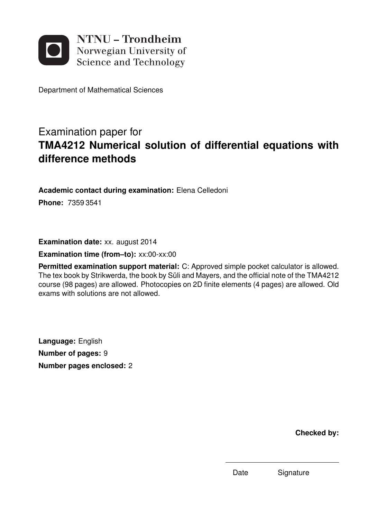

Department of Mathematical Sciences

# Examination paper for **TMA4212 Numerical solution of differential equations with difference methods**

**Academic contact during examination:** Elena Celledoni

**Phone:** 7359 3541

**Examination date:** xx. august 2014

**Examination time (from–to):** xx:00-xx:00

**Permitted examination support material:** C: Approved simple pocket calculator is allowed. The tex book by Strikwerda, the book by Süli and Mayers, and the official note of the TMA4212 course (98 pages) are allowed. Photocopies on 2D finite elements (4 pages) are allowed. Old exams with solutions are not allowed.

**Language:** English **Number of pages:** 9 **Number pages enclosed:** 2

**Checked by:**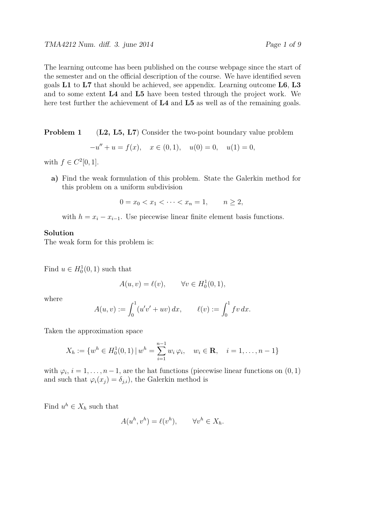The learning outcome has been published on the course webpage since the start of the semester and on the official description of the course. We have identified seven goals **L1** to **L7** that should be achieved, see appendix. Learning outcome **L6**, **L3** and to some extent **L4** and **L5** have been tested through the project work. We here test further the achievement of **L4** and **L5** as well as of the remaining goals.

**Problem 1** (L2, L5, L7) Consider the two-point boundary value problem

$$
-u'' + u = f(x), \quad x \in (0, 1), \quad u(0) = 0, \quad u(1) = 0,
$$

with  $f \in C^2[0,1]$ .

**a)** Find the weak formulation of this problem. State the Galerkin method for this problem on a uniform subdivision

$$
0 = x_0 < x_1 < \cdots < x_n = 1, \qquad n \ge 2,
$$

with  $h = x_i - x_{i-1}$ . Use piecewise linear finite element basis functions.

#### **Solution**

The weak form for this problem is:

Find  $u \in H_0^1(0,1)$  such that

$$
A(u, v) = \ell(v), \qquad \forall v \in H_0^1(0, 1),
$$

where

$$
A(u, v) := \int_0^1 (u'v' + uv) \, dx, \qquad \ell(v) := \int_0^1 fv \, dx.
$$

Taken the approximation space

$$
X_h := \{ w^h \in H_0^1(0,1) \, | \, w^h = \sum_{i=1}^{n-1} w_i \, \varphi_i, \quad w_i \in \mathbf{R}, \quad i = 1, \dots, n-1 \}
$$

with  $\varphi_i$ ,  $i = 1, \ldots, n-1$ , are the hat functions (piecewise linear functions on  $(0, 1)$ ) and such that  $\varphi_i(x_j) = \delta_{j,i}$ , the Galerkin method is

Find  $u^h \in X_h$  such that

$$
A(u^h, v^h) = \ell(v^h), \qquad \forall v^h \in X_h.
$$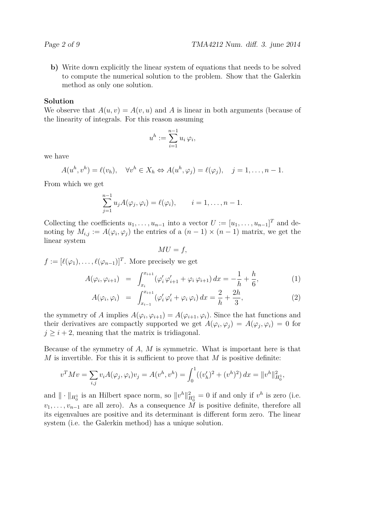**b)** Write down explicitly the linear system of equations that needs to be solved to compute the numerical solution to the problem. Show that the Galerkin method as only one solution.

#### **Solution**

We observe that  $A(u, v) = A(v, u)$  and A is linear in both arguments (because of the linearity of integrals. For this reason assuming

$$
u^h := \sum_{i=1}^{n-1} u_i \,\varphi_i,
$$

we have

$$
A(u^h, v^h) = \ell(v_h), \quad \forall v^h \in X_h \Leftrightarrow A(u^h, \varphi_j) = \ell(\varphi_j), \quad j = 1, \dots, n-1.
$$

From which we get

$$
\sum_{j=1}^{n-1} u_j A(\varphi_j, \varphi_i) = \ell(\varphi_i), \qquad i = 1, \dots, n-1.
$$

Collecting the coefficients  $u_1, \ldots, u_{n-1}$  into a vector  $U := [u_1, \ldots, u_{n-1}]^T$  and denoting by  $M_{i,j} := A(\varphi_i, \varphi_j)$  the entries of a  $(n-1) \times (n-1)$  matrix, we get the linear system

$$
MU = f,
$$

 $f := [\ell(\varphi_1), \ldots, \ell(\varphi_{n-1})]^T$ . More precisely we get

$$
A(\varphi_i, \varphi_{i+1}) = \int_{x_i}^{x_{i+1}} (\varphi_i' \varphi_{i+1}' + \varphi_i \varphi_{i+1}) dx = -\frac{1}{h} + \frac{h}{6}, \tag{1}
$$

$$
A(\varphi_i, \varphi_i) = \int_{x_{i-1}}^{x_{i+1}} (\varphi_i' \varphi_i' + \varphi_i \varphi_i) dx = \frac{2}{h} + \frac{2h}{3},
$$
 (2)

the symmetry of *A* implies  $A(\varphi_i, \varphi_{i+1}) = A(\varphi_{i+1}, \varphi_i)$ . Since the hat functions and their derivatives are compactly supported we get  $A(\varphi_i, \varphi_j) = A(\varphi_j, \varphi_i) = 0$  for  $j \geq i + 2$ , meaning that the matrix is tridiagonal.

Because of the symmetry of *A*, *M* is symmetric. What is important here is that *M* is invertible. For this it is sufficient to prove that *M* is positive definite:

$$
v^T M v = \sum_{i,j} v_i A(\varphi_j, \varphi_i) v_j = A(v^h, v^h) = \int_0^1 ((v'_h)^2 + (v^h)^2) dx = ||v^h||_{H_0^1}^2,
$$

and  $\|\cdot\|_{H_0^1}$  is an Hilbert space norm, so  $\|v^h\|_{H_0^1}^2 = 0$  if and only if  $v^h$  is zero (i.e.  $v_1, \ldots, v_{n-1}$  are all zero). As a consequence  $\tilde{M}$  is positive definite, therefore all its eigenvalues are positive and its determinant is different form zero. The linear system (i.e. the Galerkin method) has a unique solution.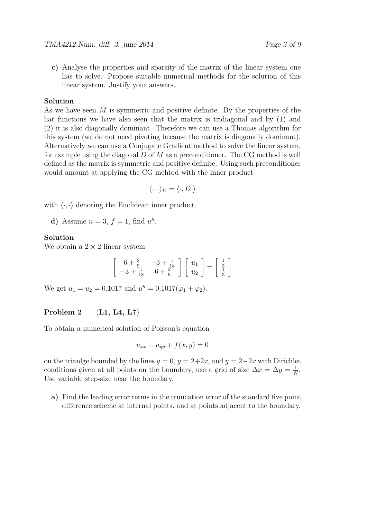- 
- **c)** Analyse the properties and sparsity of the matrix of the linear system one has to solve. Propose suitable numerical methods for the solution of this linear system. Justify your answers.

#### **Solution**

As we have seen *M* is symmetric and positive definite. By the properties of the hat functions we have also seen that the matrix is tridiagonal and by (1) and (2) it is also diagonally dominant. Therefore we can use a Thomas algorithm for this system (we do not need pivoting because the matrix is diagonally dominant). Alternatively we can use a Conjugate Gradient method to solve the linear system, for example using the diagonal *D* of *M* as a preconditioner. The CG method is well defined as the matrix is symmetric and positive definite. Using such preconditioner would amount at applying the CG mehtod with the inner product

$$
\langle \cdot, \cdot \rangle_D = \langle \cdot, D \cdot \rangle
$$

with  $\langle \cdot, \cdot \rangle$  denoting the Euclidean inner product.

**d**) Assume  $n = 3$ ,  $f = 1$ , find  $u^h$ .

## **Solution**

We obtain a  $2 \times 2$  linear system

$$
\begin{bmatrix} 6 + \frac{2}{9} & -3 + \frac{1}{18} \\ -3 + \frac{1}{18} & 6 + \frac{2}{9} \end{bmatrix} \begin{bmatrix} u_1 \\ u_2 \end{bmatrix} = \begin{bmatrix} \frac{1}{3} \\ \frac{1}{3} \end{bmatrix}
$$

We get  $u_1 = u_2 = 0.1017$  and  $u^h = 0.1017(\varphi_1 + \varphi_2)$ .

# **Problem 2** (**L1, L4, L7**)

To obtain a numerical solution of Poisson's equation

$$
u_{xx} + u_{yy} + f(x, y) = 0
$$

on the trianlge bounded by the lines  $y = 0$ ,  $y = 2+2x$ , and  $y = 2-2x$  with Dirichlet conditions given at all points on the boundary, use a grid of size  $\Delta x = \Delta y = \frac{1}{\Delta}$  $\frac{1}{N}$ . Use variable step-size near the boundary.

**a)** Find the leading error terms in the truncation error of the standard five point difference scheme at internal points, and at points adjacent to the boundary.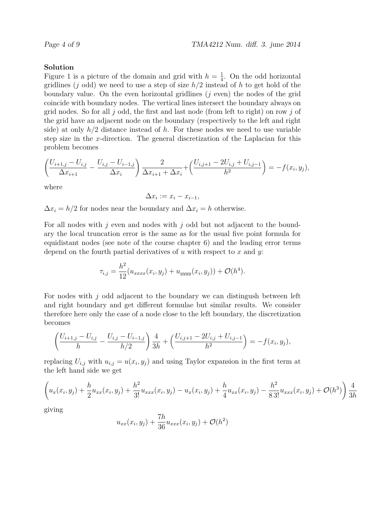#### **Solution**

Figure 1 is a picture of the domain and grid with  $h=\frac{1}{4}$  $\frac{1}{4}$ . On the odd horizontal gridlines (*j* odd) we need to use a step of size *h/*2 instead of *h* to get hold of the boundary value. On the even horizontal gridlines (*j* even) the nodes of the grid coincide with boundary nodes. The vertical lines intersect the boundary always on grid nodes. So for all *j* odd, the first and last node (from left to right) on row *j* of the grid have an adjacent node on the boundary (respectively to the left and right side) at only *h/*2 distance instead of *h*. For these nodes we need to use variable step size in the *x*-direction. The general discretization of the Laplacian for this problem becomes

$$
\left(\frac{U_{i+1,j}-U_{i,j}}{\Delta x_{i+1}}-\frac{U_{i,j}-U_{i-1,j}}{\Delta x_i}\right)\frac{2}{\Delta x_{i+1}+\Delta x_i}+\left(\frac{U_{i,j+1}-2U_{i,j}+U_{i,j-1}}{h^2}\right)=-f(x_i,y_j),
$$

where

 $\Delta x_i := x_i - x_{i-1}$ 

 $\Delta x_i = h/2$  for nodes near the boundary and  $\Delta x_i = h$  otherwise.

For all nodes with *j* even and nodes with *j* odd but not adjacent to the boundary the local truncation error is the same as for the usual five point formula for equidistant nodes (see note of the course chapter 6) and the leading error terms depend on the fourth partial derivatives of *u* with respect to *x* and *y*:

$$
\tau_{i,j} = \frac{h^2}{12} (u_{xxxx}(x_i, y_j) + u_{yyyy}(x_i, y_j)) + \mathcal{O}(h^4).
$$

For nodes with *j* odd adjacent to the boundary we can distingush between left and right boundary and get different formulae but similar results. We consider therefore here only the case of a node close to the left boundary, the discretization becomes

$$
\left(\frac{U_{i+1,j}-U_{i,j}}{h}-\frac{U_{i,j}-U_{i-1,j}}{h/2}\right)\frac{4}{3h}+\left(\frac{U_{i,j+1}-2U_{i,j}+U_{i,j-1}}{h^2}\right)=-f(x_i,y_j),
$$

replacing  $U_{i,j}$  with  $u_{i,j} = u(x_i, y_j)$  and using Taylor expansion in the first term at the left hand side we get

$$
\left(u_x(x_i, y_j) + \frac{h}{2}u_{xx}(x_i, y_j) + \frac{h^2}{3!}u_{xxx}(x_i, y_j) - u_x(x_i, y_j) + \frac{h}{4}u_{xx}(x_i, y_j) - \frac{h^2}{83!}u_{xxx}(x_i, y_j) + \mathcal{O}(h^3)\right)\frac{4}{3h}
$$

giving

$$
u_{xx}(x_i, y_j) + \frac{7h}{36}u_{xxx}(x_i, y_j) + \mathcal{O}(h^2)
$$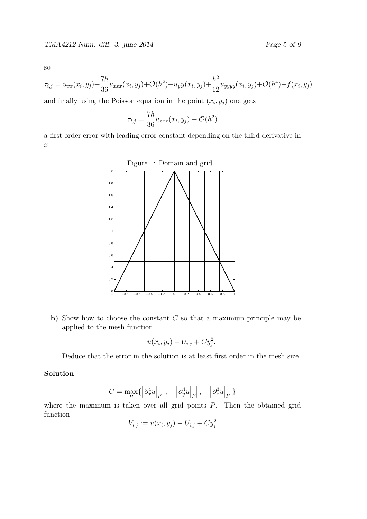so

$$
\tau_{i,j} = u_{xx}(x_i, y_j) + \frac{7h}{36} u_{xxx}(x_i, y_j) + \mathcal{O}(h^2) + u_y y(x_i, y_j) + \frac{h^2}{12} u_{yyyy}(x_i, y_j) + \mathcal{O}(h^4) + f(x_i, y_j)
$$

and finally using the Poisson equation in the point  $(x_i, y_j)$  one gets

$$
\tau_{i,j} = \frac{7h}{36} u_{xxx}(x_i, y_j) + \mathcal{O}(h^2)
$$

a first order error with leading error constant depending on the third derivative in *x*.



**b)** Show how to choose the constant *C* so that a maximum principle may be applied to the mesh function

$$
u(x_i, y_j) - U_{i,j} + C y_j^2.
$$

Deduce that the error in the solution is at least first order in the mesh size.

# **Solution**

$$
C = \max_{P} \{ \left| \partial_x^4 u \right|_P \big|, \left| \left| \partial_y^4 u \right|_P \big|, \left| \left| \partial_x^3 u \right|_P \big| \right\}
$$

where the maximum is taken over all grid points *P*. Then the obtained grid function

$$
V_{i,j} := u(x_i, y_j) - U_{i,j} + C y_j^2
$$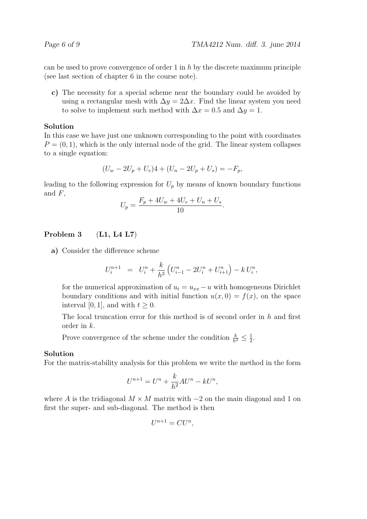can be used to prove convergence of order 1 in *h* by the discrete maximum principle (see last section of chapter 6 in the course note).

**c)** The necessity for a special scheme near the boundary could be avoided by using a rectangular mesh with  $\Delta y = 2\Delta x$ . Find the linear system you need to solve to implement such method with  $\Delta x = 0.5$  and  $\Delta y = 1$ .

# **Solution**

In this case we have just one unknown corresponding to the point with coordinates  $P = (0, 1)$ , which is the only internal node of the grid. The linear system collapses to a single equation:

$$
(U_w - 2U_p + U_e)4 + (U_n - 2U_p + U_s) = -F_p,
$$

leading to the following expression for  $U_p$  by means of known boundary functions and *F*,

$$
U_p = \frac{F_p + 4U_w + 4U_e + U_n + U_s}{10}.
$$

# **Problem 3** (**L1, L4 L7**)

**a)** Consider the difference scheme

$$
U_i^{n+1} = U_i^n + \frac{k}{h^2} \left( U_{i-1}^n - 2U_i^n + U_{i+1}^n \right) - k U_i^n,
$$

for the numerical approximation of  $u_t = u_{xx} - u$  with homogeneous Dirichlet boundary conditions and with initial function  $u(x, 0) = f(x)$ , on the space interval [0, 1], and with  $t \geq 0$ .

The local truncation error for this method is of second order in *h* and first order in *k*.

Prove convergence of the scheme under the condition  $\frac{k}{h^2} \leq \frac{1}{2}$  $\frac{1}{2}$ .

#### **Solution**

For the matrix-stability analysis for this problem we write the method in the form

$$
U^{n+1} = U^n + \frac{k}{h^2}AU^n - kU^n,
$$

where *A* is the tridiagonal  $M \times M$  matrix with  $-2$  on the main diagonal and 1 on first the super- and sub-diagonal. The method is then

$$
U^{n+1} = CU^n,
$$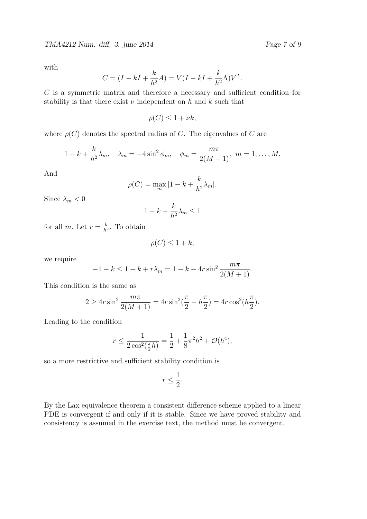TMA4212 Num. diff. 3. june 2014 Page 7 of 9

with

$$
C = (I - kI + \frac{k}{h^2}A) = V(I - kI + \frac{k}{h^2}\Lambda)V^T.
$$

*C* is a symmetric matrix and therefore a necessary and sufficient condition for stability is that there exist  $\nu$  independent on  $h$  and  $k$  such that

$$
\rho(C) \le 1 + \nu k,
$$

where  $\rho(C)$  denotes the spectral radius of *C*. The eigenvalues of *C* are

$$
1 - k + \frac{k}{h^2} \lambda_m
$$
,  $\lambda_m = -4 \sin^2 \phi_m$ ,  $\phi_m = \frac{m\pi}{2(M+1)}$ ,  $m = 1, ..., M$ .

And

$$
\rho(C) = \max_{m} |1 - k + \frac{k}{h^2} \lambda_m|.
$$

Since  $\lambda_m < 0$ 

$$
1 - k + \frac{k}{h^2} \lambda_m \le 1
$$

for all *m*. Let  $r = \frac{k}{h^2}$  $\frac{k}{h^2}$ . To obtain

$$
\rho(C) \le 1 + k,
$$

we require

$$
-1 - k \le 1 - k + r\lambda_m = 1 - k - 4r\sin^2\frac{m\pi}{2(M+1)}.
$$

This condition is the same as

$$
2 \ge 4r \sin^2 \frac{m\pi}{2(M+1)} = 4r \sin^2(\frac{\pi}{2} - h\frac{\pi}{2}) = 4r \cos^2(h\frac{\pi}{2}).
$$

Leading to the condition

$$
r \le \frac{1}{2\cos^2(\frac{\pi}{2}h)} = \frac{1}{2} + \frac{1}{8}\pi^2h^2 + \mathcal{O}(h^4),
$$

so a more restrictive and sufficient stability condition is

$$
r\leq \frac{1}{2}.
$$

By the Lax equivalence theorem a consistent difference scheme applied to a linear PDE is convergent if and only if it is stable. Since we have proved stability and consistency is assumed in the exercise text, the method must be convergent.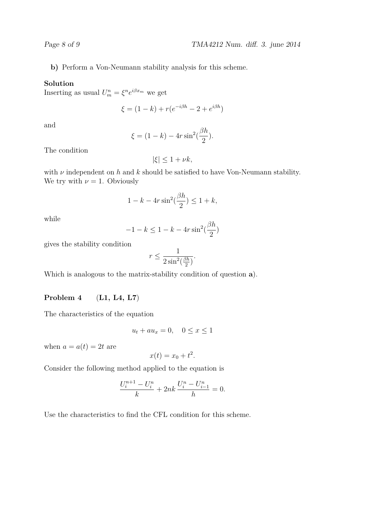**b)** Perform a Von-Neumann stability analysis for this scheme.

## **Solution**

Inserting as usual  $U_m^n = \xi^n e^{i\beta x_m}$  we get

$$
\xi = (1 - k) + r(e^{-i\beta h} - 2 + e^{i\beta h})
$$

and

$$
\xi = (1 - k) - 4r \sin^2(\frac{\beta h}{2}).
$$

The condition

$$
|\xi| \le 1 + \nu k,
$$

with  $\nu$  independent on  $h$  and  $k$  should be satisfied to have Von-Neumann stability. We try with  $\nu = 1$ . Obviously

$$
1 - k - 4r\sin^2(\frac{\beta h}{2}) \le 1 + k,
$$

while

$$
-1 - k \le 1 - k - 4r \sin^2(\frac{\beta h}{2})
$$

gives the stability condition

$$
r \le \frac{1}{2\sin^2(\frac{\beta h}{2})}.
$$

Which is analogous to the matrix-stability condition of question **a**).

# **Problem 4** (**L1, L4, L7**)

The characteristics of the equation

$$
u_t + au_x = 0, \quad 0 \le x \le 1
$$

when  $a = a(t) = 2t$  are

$$
x(t) = x_0 + t^2.
$$

Consider the following method applied to the equation is

$$
\frac{U_i^{n+1} - U_i^n}{k} + 2nk \frac{U_i^n - U_{i-1}^n}{h} = 0.
$$

Use the characteristics to find the CFL condition for this scheme.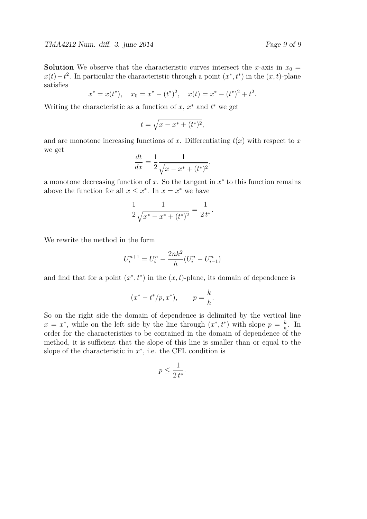**Solution** We observe that the characteristic curves intersect the *x*-axis in  $x_0 =$  $x(t) - t^2$ . In particular the characteristic through a point  $(x^*, t^*)$  in the  $(x, t)$ -plane satisfies

$$
x^* = x(t^*),
$$
  $x_0 = x^* - (t^*)^2,$   $x(t) = x^* - (t^*)^2 + t^2.$ 

Writing the characteristic as a function of  $x, x^*$  and  $t^*$  we get

$$
t = \sqrt{x - x^* + (t^*)^2},
$$

and are monotone increasing functions of  $x$ . Differentiating  $t(x)$  with respect to  $x$ we get

$$
\frac{dt}{dx} = \frac{1}{2} \frac{1}{\sqrt{x - x^* + (t^*)^2}},
$$

a monotone decreasing function of *x*. So the tangent in *x*<sup>∗</sup> to this function remains above the function for all  $x \leq x^*$ . In  $x = x^*$  we have

$$
\frac{1}{2} \frac{1}{\sqrt{x^* - x^* + (t^*)^2}} = \frac{1}{2 t^*}.
$$

We rewrite the method in the form

$$
U_i^{n+1} = U_i^n - \frac{2nk^2}{h}(U_i^n - U_{i-1}^n)
$$

and find that for a point  $(x^*, t^*)$  in the  $(x, t)$ -plane, its domain of dependence is

$$
(x^* - t^*/p, x^*),
$$
  $p = \frac{k}{h}.$ 

So on the right side the domain of dependence is delimited by the vertical line  $x = x^*$ , while on the left side by the line through  $(x^*, t^*)$  with slope  $p = \frac{k}{h}$  $\frac{k}{h}$ . In order for the characteristics to be contained in the domain of dependence of the method, it is sufficient that the slope of this line is smaller than or equal to the slope of the characteristic in  $x^*$ , i.e. the CFL condition is

$$
p \le \frac{1}{2 t^*}.
$$